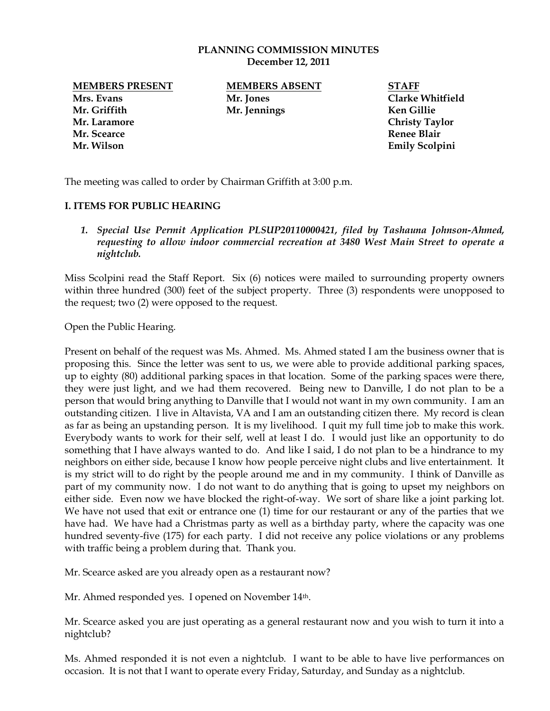## **PLANNING COMMISSION MINUTES December 12, 2011**

**Mrs. Evans Mr. Jones Clarke Whitfield Mr. Griffith Mr. Jennings Ken Gillie Mr. Laramore Christy Taylor Mr. Scearce Renee Blair**

**MEMBERS PRESENT MEMBERS ABSENT STAFF**

**Mr. Wilson Emily Scolpini** 

The meeting was called to order by Chairman Griffith at 3:00 p.m.

## **I. ITEMS FOR PUBLIC HEARING**

*1. Special Use Permit Application PLSUP20110000421, filed by Tashauna Johnson-Ahmed, requesting to allow indoor commercial recreation at 3480 West Main Street to operate a nightclub.*

Miss Scolpini read the Staff Report. Six (6) notices were mailed to surrounding property owners within three hundred (300) feet of the subject property. Three (3) respondents were unopposed to the request; two (2) were opposed to the request.

Open the Public Hearing.

Present on behalf of the request was Ms. Ahmed. Ms. Ahmed stated I am the business owner that is proposing this. Since the letter was sent to us, we were able to provide additional parking spaces, up to eighty (80) additional parking spaces in that location. Some of the parking spaces were there, they were just light, and we had them recovered. Being new to Danville, I do not plan to be a person that would bring anything to Danville that I would not want in my own community. I am an outstanding citizen. I live in Altavista, VA and I am an outstanding citizen there. My record is clean as far as being an upstanding person. It is my livelihood. I quit my full time job to make this work. Everybody wants to work for their self, well at least I do. I would just like an opportunity to do something that I have always wanted to do. And like I said, I do not plan to be a hindrance to my neighbors on either side, because I know how people perceive night clubs and live entertainment. It is my strict will to do right by the people around me and in my community. I think of Danville as part of my community now. I do not want to do anything that is going to upset my neighbors on either side. Even now we have blocked the right-of-way. We sort of share like a joint parking lot. We have not used that exit or entrance one (1) time for our restaurant or any of the parties that we have had. We have had a Christmas party as well as a birthday party, where the capacity was one hundred seventy-five (175) for each party. I did not receive any police violations or any problems with traffic being a problem during that. Thank you.

Mr. Scearce asked are you already open as a restaurant now?

Mr. Ahmed responded yes. I opened on November 14th.

Mr. Scearce asked you are just operating as a general restaurant now and you wish to turn it into a nightclub?

Ms. Ahmed responded it is not even a nightclub. I want to be able to have live performances on occasion. It is not that I want to operate every Friday, Saturday, and Sunday as a nightclub.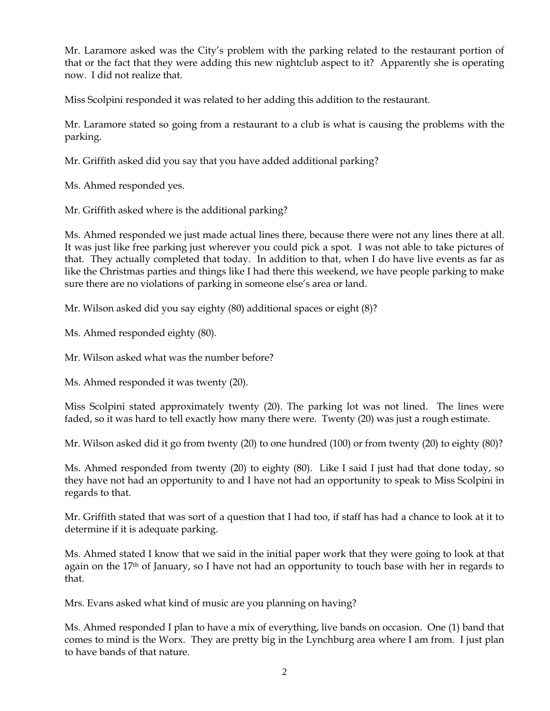Mr. Laramore asked was the City's problem with the parking related to the restaurant portion of that or the fact that they were adding this new nightclub aspect to it? Apparently she is operating now. I did not realize that.

Miss Scolpini responded it was related to her adding this addition to the restaurant.

Mr. Laramore stated so going from a restaurant to a club is what is causing the problems with the parking.

Mr. Griffith asked did you say that you have added additional parking?

Ms. Ahmed responded yes.

Mr. Griffith asked where is the additional parking?

Ms. Ahmed responded we just made actual lines there, because there were not any lines there at all. It was just like free parking just wherever you could pick a spot. I was not able to take pictures of that. They actually completed that today. In addition to that, when I do have live events as far as like the Christmas parties and things like I had there this weekend, we have people parking to make sure there are no violations of parking in someone else's area or land.

Mr. Wilson asked did you say eighty (80) additional spaces or eight (8)?

Ms. Ahmed responded eighty (80).

Mr. Wilson asked what was the number before?

Ms. Ahmed responded it was twenty (20).

Miss Scolpini stated approximately twenty (20). The parking lot was not lined. The lines were faded, so it was hard to tell exactly how many there were. Twenty (20) was just a rough estimate.

Mr. Wilson asked did it go from twenty (20) to one hundred (100) or from twenty (20) to eighty (80)?

Ms. Ahmed responded from twenty (20) to eighty (80). Like I said I just had that done today, so they have not had an opportunity to and I have not had an opportunity to speak to Miss Scolpini in regards to that.

Mr. Griffith stated that was sort of a question that I had too, if staff has had a chance to look at it to determine if it is adequate parking.

Ms. Ahmed stated I know that we said in the initial paper work that they were going to look at that again on the  $17<sup>th</sup>$  of January, so I have not had an opportunity to touch base with her in regards to that.

Mrs. Evans asked what kind of music are you planning on having?

Ms. Ahmed responded I plan to have a mix of everything, live bands on occasion. One (1) band that comes to mind is the Worx. They are pretty big in the Lynchburg area where I am from. I just plan to have bands of that nature.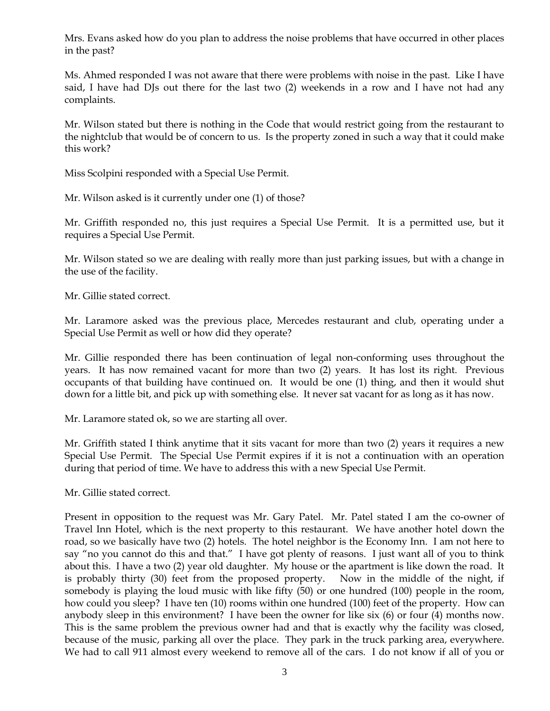Mrs. Evans asked how do you plan to address the noise problems that have occurred in other places in the past?

Ms. Ahmed responded I was not aware that there were problems with noise in the past. Like I have said, I have had DJs out there for the last two (2) weekends in a row and I have not had any complaints.

Mr. Wilson stated but there is nothing in the Code that would restrict going from the restaurant to the nightclub that would be of concern to us. Is the property zoned in such a way that it could make this work?

Miss Scolpini responded with a Special Use Permit.

Mr. Wilson asked is it currently under one (1) of those?

Mr. Griffith responded no, this just requires a Special Use Permit. It is a permitted use, but it requires a Special Use Permit.

Mr. Wilson stated so we are dealing with really more than just parking issues, but with a change in the use of the facility.

Mr. Gillie stated correct.

Mr. Laramore asked was the previous place, Mercedes restaurant and club, operating under a Special Use Permit as well or how did they operate?

Mr. Gillie responded there has been continuation of legal non-conforming uses throughout the years. It has now remained vacant for more than two (2) years. It has lost its right. Previous occupants of that building have continued on. It would be one (1) thing, and then it would shut down for a little bit, and pick up with something else. It never sat vacant for as long as it has now.

Mr. Laramore stated ok, so we are starting all over.

Mr. Griffith stated I think anytime that it sits vacant for more than two (2) years it requires a new Special Use Permit. The Special Use Permit expires if it is not a continuation with an operation during that period of time. We have to address this with a new Special Use Permit.

Mr. Gillie stated correct.

Present in opposition to the request was Mr. Gary Patel. Mr. Patel stated I am the co-owner of Travel Inn Hotel, which is the next property to this restaurant. We have another hotel down the road, so we basically have two (2) hotels. The hotel neighbor is the Economy Inn. I am not here to say "no you cannot do this and that." I have got plenty of reasons. I just want all of you to think about this. I have a two (2) year old daughter. My house or the apartment is like down the road. It is probably thirty (30) feet from the proposed property. Now in the middle of the night, if somebody is playing the loud music with like fifty (50) or one hundred (100) people in the room, how could you sleep? I have ten (10) rooms within one hundred (100) feet of the property. How can anybody sleep in this environment? I have been the owner for like six (6) or four (4) months now. This is the same problem the previous owner had and that is exactly why the facility was closed, because of the music, parking all over the place. They park in the truck parking area, everywhere. We had to call 911 almost every weekend to remove all of the cars. I do not know if all of you or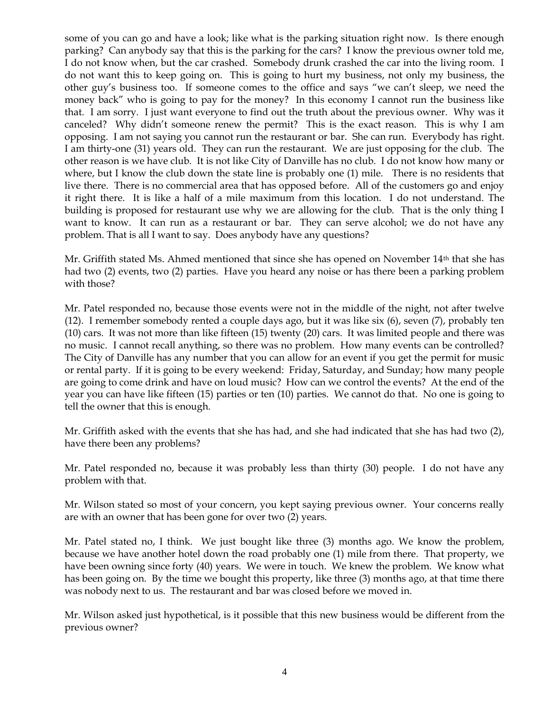some of you can go and have a look; like what is the parking situation right now. Is there enough parking? Can anybody say that this is the parking for the cars? I know the previous owner told me, I do not know when, but the car crashed. Somebody drunk crashed the car into the living room. I do not want this to keep going on. This is going to hurt my business, not only my business, the other guy's business too. If someone comes to the office and says "we can't sleep, we need the money back" who is going to pay for the money? In this economy I cannot run the business like that. I am sorry. I just want everyone to find out the truth about the previous owner. Why was it canceled? Why didn't someone renew the permit? This is the exact reason. This is why I am opposing. I am not saying you cannot run the restaurant or bar. She can run. Everybody has right. I am thirty-one (31) years old. They can run the restaurant. We are just opposing for the club. The other reason is we have club. It is not like City of Danville has no club. I do not know how many or where, but I know the club down the state line is probably one (1) mile. There is no residents that live there. There is no commercial area that has opposed before. All of the customers go and enjoy it right there. It is like a half of a mile maximum from this location. I do not understand. The building is proposed for restaurant use why we are allowing for the club. That is the only thing I want to know. It can run as a restaurant or bar. They can serve alcohol; we do not have any problem. That is all I want to say. Does anybody have any questions?

Mr. Griffith stated Ms. Ahmed mentioned that since she has opened on November 14<sup>th</sup> that she has had two (2) events, two (2) parties. Have you heard any noise or has there been a parking problem with those?

Mr. Patel responded no, because those events were not in the middle of the night, not after twelve (12). I remember somebody rented a couple days ago, but it was like six (6), seven (7), probably ten (10) cars. It was not more than like fifteen (15) twenty (20) cars. It was limited people and there was no music. I cannot recall anything, so there was no problem. How many events can be controlled? The City of Danville has any number that you can allow for an event if you get the permit for music or rental party. If it is going to be every weekend: Friday, Saturday, and Sunday; how many people are going to come drink and have on loud music? How can we control the events? At the end of the year you can have like fifteen (15) parties or ten (10) parties. We cannot do that. No one is going to tell the owner that this is enough.

Mr. Griffith asked with the events that she has had, and she had indicated that she has had two (2), have there been any problems?

Mr. Patel responded no, because it was probably less than thirty (30) people. I do not have any problem with that.

Mr. Wilson stated so most of your concern, you kept saying previous owner. Your concerns really are with an owner that has been gone for over two (2) years.

Mr. Patel stated no, I think. We just bought like three (3) months ago. We know the problem, because we have another hotel down the road probably one (1) mile from there. That property, we have been owning since forty (40) years. We were in touch. We knew the problem. We know what has been going on. By the time we bought this property, like three (3) months ago, at that time there was nobody next to us. The restaurant and bar was closed before we moved in.

Mr. Wilson asked just hypothetical, is it possible that this new business would be different from the previous owner?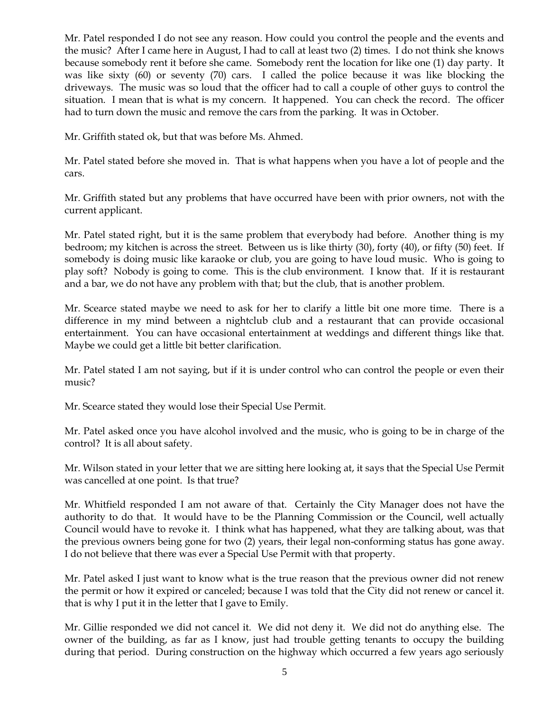Mr. Patel responded I do not see any reason. How could you control the people and the events and the music? After I came here in August, I had to call at least two (2) times. I do not think she knows because somebody rent it before she came. Somebody rent the location for like one (1) day party. It was like sixty (60) or seventy (70) cars. I called the police because it was like blocking the driveways. The music was so loud that the officer had to call a couple of other guys to control the situation. I mean that is what is my concern. It happened. You can check the record. The officer had to turn down the music and remove the cars from the parking. It was in October.

Mr. Griffith stated ok, but that was before Ms. Ahmed.

Mr. Patel stated before she moved in. That is what happens when you have a lot of people and the cars.

Mr. Griffith stated but any problems that have occurred have been with prior owners, not with the current applicant.

Mr. Patel stated right, but it is the same problem that everybody had before. Another thing is my bedroom; my kitchen is across the street. Between us is like thirty (30), forty (40), or fifty (50) feet. If somebody is doing music like karaoke or club, you are going to have loud music. Who is going to play soft? Nobody is going to come. This is the club environment. I know that. If it is restaurant and a bar, we do not have any problem with that; but the club, that is another problem.

Mr. Scearce stated maybe we need to ask for her to clarify a little bit one more time. There is a difference in my mind between a nightclub club and a restaurant that can provide occasional entertainment. You can have occasional entertainment at weddings and different things like that. Maybe we could get a little bit better clarification.

Mr. Patel stated I am not saying, but if it is under control who can control the people or even their music?

Mr. Scearce stated they would lose their Special Use Permit.

Mr. Patel asked once you have alcohol involved and the music, who is going to be in charge of the control? It is all about safety.

Mr. Wilson stated in your letter that we are sitting here looking at, it says that the Special Use Permit was cancelled at one point. Is that true?

Mr. Whitfield responded I am not aware of that. Certainly the City Manager does not have the authority to do that. It would have to be the Planning Commission or the Council, well actually Council would have to revoke it. I think what has happened, what they are talking about, was that the previous owners being gone for two (2) years, their legal non-conforming status has gone away. I do not believe that there was ever a Special Use Permit with that property.

Mr. Patel asked I just want to know what is the true reason that the previous owner did not renew the permit or how it expired or canceled; because I was told that the City did not renew or cancel it. that is why I put it in the letter that I gave to Emily.

Mr. Gillie responded we did not cancel it. We did not deny it. We did not do anything else. The owner of the building, as far as I know, just had trouble getting tenants to occupy the building during that period. During construction on the highway which occurred a few years ago seriously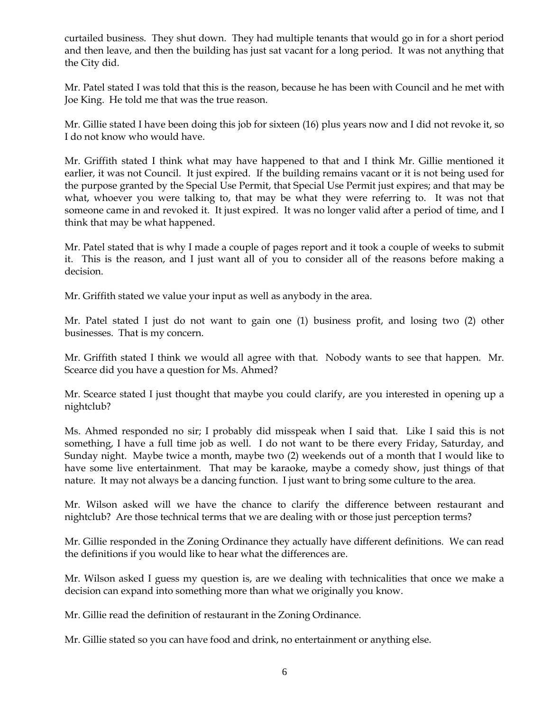curtailed business. They shut down. They had multiple tenants that would go in for a short period and then leave, and then the building has just sat vacant for a long period. It was not anything that the City did.

Mr. Patel stated I was told that this is the reason, because he has been with Council and he met with Joe King. He told me that was the true reason.

Mr. Gillie stated I have been doing this job for sixteen (16) plus years now and I did not revoke it, so I do not know who would have.

Mr. Griffith stated I think what may have happened to that and I think Mr. Gillie mentioned it earlier, it was not Council. It just expired. If the building remains vacant or it is not being used for the purpose granted by the Special Use Permit, that Special Use Permit just expires; and that may be what, whoever you were talking to, that may be what they were referring to. It was not that someone came in and revoked it. It just expired. It was no longer valid after a period of time, and I think that may be what happened.

Mr. Patel stated that is why I made a couple of pages report and it took a couple of weeks to submit it. This is the reason, and I just want all of you to consider all of the reasons before making a decision.

Mr. Griffith stated we value your input as well as anybody in the area.

Mr. Patel stated I just do not want to gain one (1) business profit, and losing two (2) other businesses. That is my concern.

Mr. Griffith stated I think we would all agree with that. Nobody wants to see that happen. Mr. Scearce did you have a question for Ms. Ahmed?

Mr. Scearce stated I just thought that maybe you could clarify, are you interested in opening up a nightclub?

Ms. Ahmed responded no sir; I probably did misspeak when I said that. Like I said this is not something, I have a full time job as well. I do not want to be there every Friday, Saturday, and Sunday night. Maybe twice a month, maybe two (2) weekends out of a month that I would like to have some live entertainment. That may be karaoke, maybe a comedy show, just things of that nature. It may not always be a dancing function. I just want to bring some culture to the area.

Mr. Wilson asked will we have the chance to clarify the difference between restaurant and nightclub? Are those technical terms that we are dealing with or those just perception terms?

Mr. Gillie responded in the Zoning Ordinance they actually have different definitions. We can read the definitions if you would like to hear what the differences are.

Mr. Wilson asked I guess my question is, are we dealing with technicalities that once we make a decision can expand into something more than what we originally you know.

Mr. Gillie read the definition of restaurant in the Zoning Ordinance.

Mr. Gillie stated so you can have food and drink, no entertainment or anything else.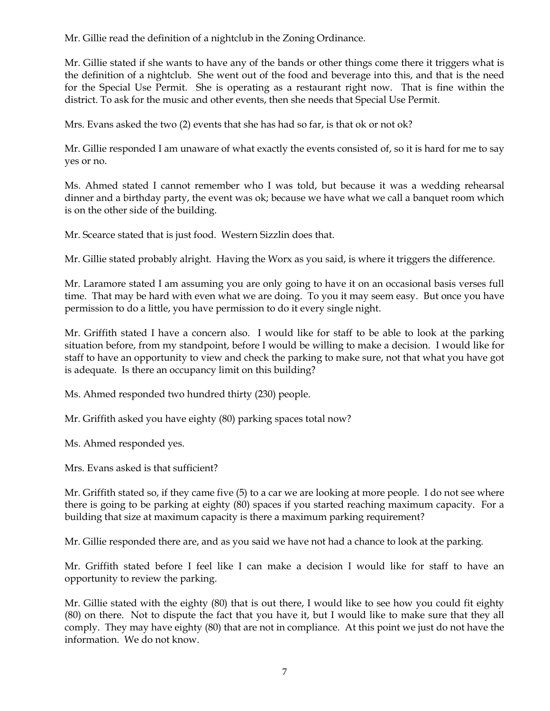Mr. Gillie read the definition of a nightclub in the Zoning Ordinance.

Mr. Gillie stated if she wants to have any of the bands or other things come there it triggers what is the definition of a nightclub. She went out of the food and beverage into this, and that is the need for the Special Use Permit. She is operating as a restaurant right now. That is fine within the district. To ask for the music and other events, then she needs that Special Use Permit.

Mrs. Evans asked the two (2) events that she has had so far, is that ok or not ok?

Mr. Gillie responded I am unaware of what exactly the events consisted of, so it is hard for me to say yes or no.

Ms. Ahmed stated I cannot remember who I was told, but because it was a wedding rehearsal dinner and a birthday party, the event was ok; because we have what we call a banquet room which is on the other side of the building.

Mr. Scearce stated that is just food. Western Sizzlin does that.

Mr. Gillie stated probably alright. Having the Worx as you said, is where it triggers the difference.

Mr. Laramore stated I am assuming you are only going to have it on an occasional basis verses full time. That may be hard with even what we are doing. To you it may seem easy. But once you have permission to do a little, you have permission to do it every single night.

Mr. Griffith stated I have a concern also. I would like for staff to be able to look at the parking situation before, from my standpoint, before I would be willing to make a decision. I would like for staff to have an opportunity to view and check the parking to make sure, not that what you have got is adequate. Is there an occupancy limit on this building?

Ms. Ahmed responded two hundred thirty (230) people.

Mr. Griffith asked you have eighty (80) parking spaces total now?

Ms. Ahmed responded yes.

Mrs. Evans asked is that sufficient?

Mr. Griffith stated so, if they came five (5) to a car we are looking at more people. I do not see where there is going to be parking at eighty (80) spaces if you started reaching maximum capacity. For a building that size at maximum capacity is there a maximum parking requirement?

Mr. Gillie responded there are, and as you said we have not had a chance to look at the parking.

Mr. Griffith stated before I feel like I can make a decision I would like for staff to have an opportunity to review the parking.

Mr. Gillie stated with the eighty (80) that is out there, I would like to see how you could fit eighty (80) on there. Not to dispute the fact that you have it, but I would like to make sure that they all comply. They may have eighty (80) that are not in compliance. At this point we just do not have the information. We do not know.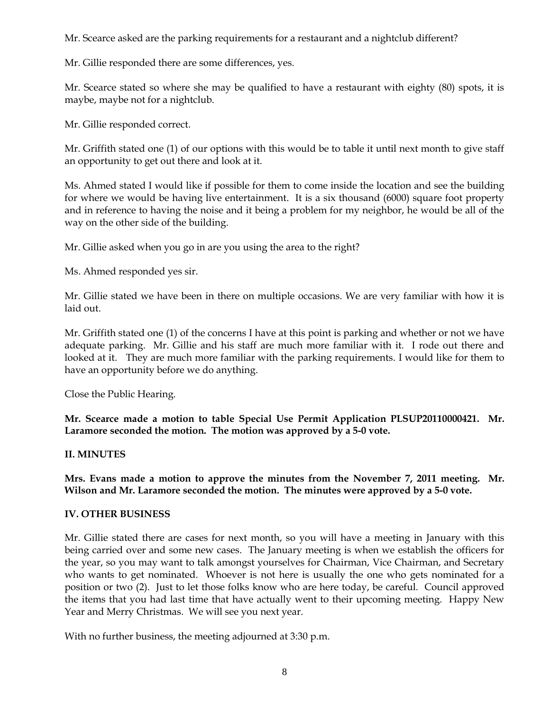Mr. Scearce asked are the parking requirements for a restaurant and a nightclub different?

Mr. Gillie responded there are some differences, yes.

Mr. Scearce stated so where she may be qualified to have a restaurant with eighty (80) spots, it is maybe, maybe not for a nightclub.

Mr. Gillie responded correct.

Mr. Griffith stated one (1) of our options with this would be to table it until next month to give staff an opportunity to get out there and look at it.

Ms. Ahmed stated I would like if possible for them to come inside the location and see the building for where we would be having live entertainment. It is a six thousand (6000) square foot property and in reference to having the noise and it being a problem for my neighbor, he would be all of the way on the other side of the building.

Mr. Gillie asked when you go in are you using the area to the right?

Ms. Ahmed responded yes sir.

Mr. Gillie stated we have been in there on multiple occasions. We are very familiar with how it is laid out.

Mr. Griffith stated one (1) of the concerns I have at this point is parking and whether or not we have adequate parking. Mr. Gillie and his staff are much more familiar with it. I rode out there and looked at it. They are much more familiar with the parking requirements. I would like for them to have an opportunity before we do anything.

Close the Public Hearing.

**Mr. Scearce made a motion to table Special Use Permit Application PLSUP20110000421. Mr. Laramore seconded the motion. The motion was approved by a 5-0 vote.** 

## **II. MINUTES**

**Mrs. Evans made a motion to approve the minutes from the November 7, 2011 meeting. Mr. Wilson and Mr. Laramore seconded the motion. The minutes were approved by a 5-0 vote.**

## **IV. OTHER BUSINESS**

Mr. Gillie stated there are cases for next month, so you will have a meeting in January with this being carried over and some new cases. The January meeting is when we establish the officers for the year, so you may want to talk amongst yourselves for Chairman, Vice Chairman, and Secretary who wants to get nominated. Whoever is not here is usually the one who gets nominated for a position or two (2). Just to let those folks know who are here today, be careful. Council approved the items that you had last time that have actually went to their upcoming meeting. Happy New Year and Merry Christmas. We will see you next year.

With no further business, the meeting adjourned at 3:30 p.m.